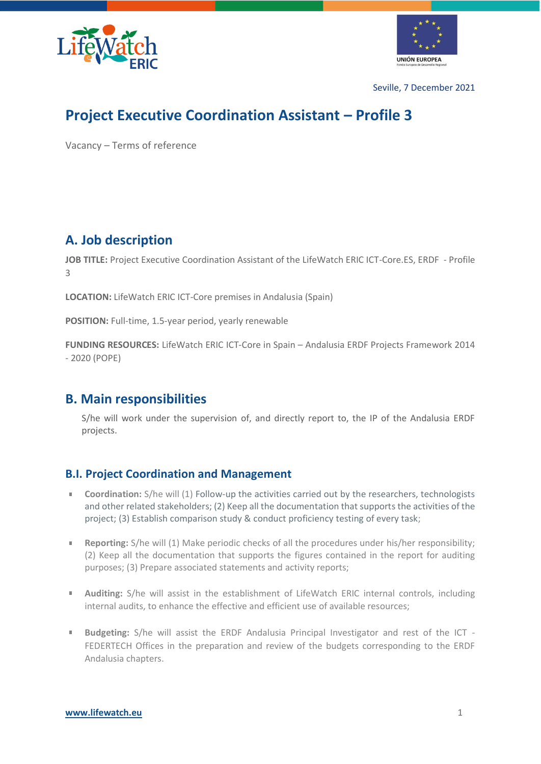



Seville, 7 December 2021

# **Project Executive Coordination Assistant – Profile 3**

Vacancy – Terms of reference

### **A. Job description**

**JOB TITLE:** Project Executive Coordination Assistant of the LifeWatch ERIC ICT-Core.ES, ERDF - Profile 3

**LOCATION:** LifeWatch ERIC ICT-Core premises in Andalusia (Spain)

**POSITION:** Full-time, 1.5-year period, yearly renewable

**FUNDING RESOURCES:** LifeWatch ERIC ICT-Core in Spain – Andalusia ERDF Projects Framework 2014 - 2020 (POPE)

### **B. Main responsibilities**

S/he will work under the supervision of, and directly report to, the IP of the Andalusia ERDF projects.

#### **B.I. Project Coordination and Management**

- **Coordination:** S/he will (1) Follow-up the activities carried out by the researchers, technologists a. and other related stakeholders; (2) Keep all the documentation that supports the activities of the project; (3) Establish comparison study & conduct proficiency testing of every task;
- $\blacksquare$ **Reporting:** S/he will (1) Make periodic checks of all the procedures under his/her responsibility; (2) Keep all the documentation that supports the figures contained in the report for auditing purposes; (3) Prepare associated statements and activity reports;
- $\mathbf{u}$ **Auditing:** S/he will assist in the establishment of LifeWatch ERIC internal controls, including internal audits, to enhance the effective and efficient use of available resources;
- **Budgeting:** S/he will assist the ERDF Andalusia Principal Investigator and rest of the ICT  $\mathbf{u}$ FEDERTECH Offices in the preparation and review of the budgets corresponding to the ERDF Andalusia chapters.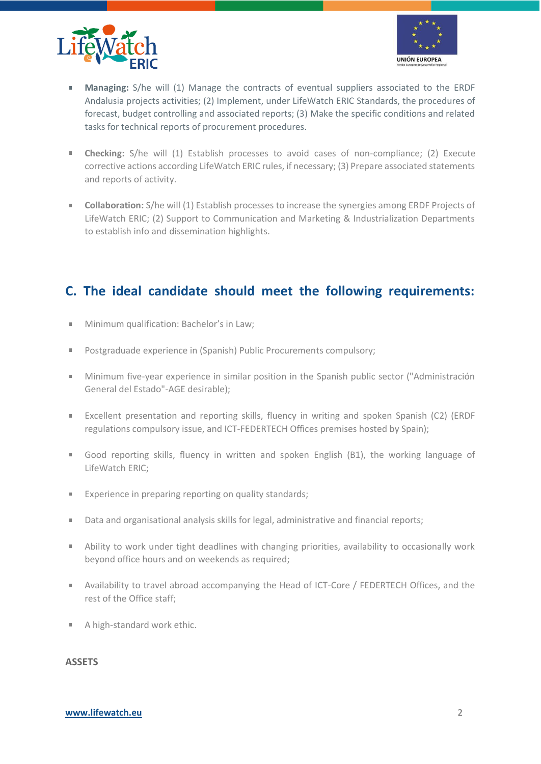



- à. **Managing:** S/he will (1) Manage the contracts of eventual suppliers associated to the ERDF Andalusia projects activities; (2) Implement, under LifeWatch ERIC Standards, the procedures of forecast, budget controlling and associated reports; (3) Make the specific conditions and related tasks for technical reports of procurement procedures.
- **Checking:** S/he will (1) Establish processes to avoid cases of non-compliance; (2) Execute  $\mathbf{r}$ corrective actions according LifeWatch ERIC rules, if necessary; (3) Prepare associated statements and reports of activity.
- **Collaboration:** S/he will (1) Establish processes to increase the synergies among ERDF Projects of  $\mathbf{u}$ LifeWatch ERIC; (2) Support to Communication and Marketing & Industrialization Departments to establish info and dissemination highlights.

### **C. The ideal candidate should meet the following requirements:**

- Minimum qualification: Bachelor's in Law;  $\blacksquare$
- ×, Postgraduade experience in (Spanish) Public Procurements compulsory;
- $\mathbb{R}^{n\times n}$ Minimum five-year experience in similar position in the Spanish public sector ("Administración General del Estado"-AGE desirable);
- Excellent presentation and reporting skills, fluency in writing and spoken Spanish (C2) (ERDF m. regulations compulsory issue, and ICT-FEDERTECH Offices premises hosted by Spain);
- Good reporting skills, fluency in written and spoken English (B1), the working language of  $\mathbb{R}^+$ LifeWatch ERIC;
- Experience in preparing reporting on quality standards;  $\bar{\phantom{a}}$
- Data and organisational analysis skills for legal, administrative and financial reports;  $\blacksquare$
- Ability to work under tight deadlines with changing priorities, availability to occasionally work **College** beyond office hours and on weekends as required;
- $\bar{a}$ Availability to travel abroad accompanying the Head of ICT-Core / FEDERTECH Offices, and the rest of the Office staff;
- A high-standard work ethic.  $\blacksquare$

#### **ASSETS**